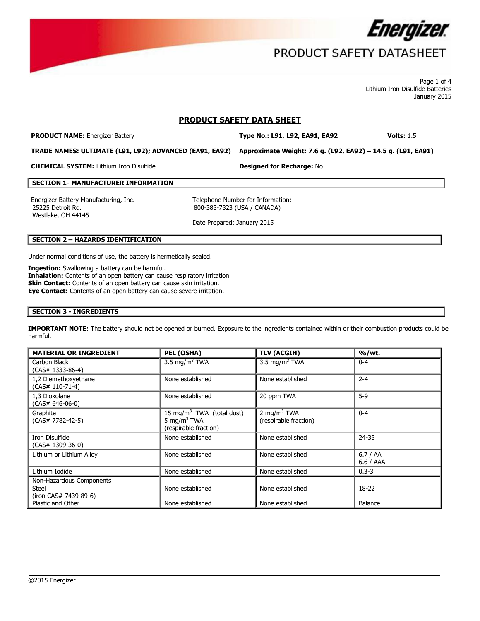

Page 1 of 4 Lithium Iron Disulfide Batteries January 2015

#### **PRODUCT SAFETY DATA SHEET**

**PRODUCT NAME:** Energizer Battery **Type No.: L91, L92, EA91, EA92 Volts:** 1.5

**TRADE NAMES: ULTIMATE (L91, L92); ADVANCED (EA91, EA92) Approximate Weight: 7.6 g. (L92, EA92) – 14.5 g. (L91, EA91)**

**CHEMICAL SYSTEM:** Lithium Iron Disulfide **Designed for Recharge:** No

#### **SECTION 1- MANUFACTURER INFORMATION**

Energizer Battery Manufacturing, Inc. Telephone Number for Information: 25225 Detroit Rd. Westlake, OH 44145

800-383-7323 (USA / CANADA)

Date Prepared: January 2015

#### **SECTION 2 – HAZARDS IDENTIFICATION**

Under normal conditions of use, the battery is hermetically sealed.

**Ingestion:** Swallowing a battery can be harmful. **Inhalation:** Contents of an open battery can cause respiratory irritation. **Skin Contact:** Contents of an open battery can cause skin irritation. **Eye Contact:** Contents of an open battery can cause severe irritation.

#### **SECTION 3 - INGREDIENTS**

**IMPORTANT NOTE:** The battery should not be opened or burned. Exposure to the ingredients contained within or their combustion products could be harmful.

| <b>MATERIAL OR INGREDIENT</b>                                     | PEL (OSHA)                                                                                | <b>TLV (ACGIH)</b>                              | % / wt.            |
|-------------------------------------------------------------------|-------------------------------------------------------------------------------------------|-------------------------------------------------|--------------------|
| Carbon Black<br>$(CAS# 1333-86-4)$                                | 3.5 mg/m <sup>3</sup> TWA                                                                 | 3.5 mg/m <sup>3</sup> TWA                       | $0 - 4$            |
| 1,2 Diemethoxyethane<br>$(CAS# 110-71-4)$                         | None established                                                                          | None established                                | $2 - 4$            |
| 1,3 Dioxolane<br>$(CAS# 646-06-0)$                                | None established                                                                          | 20 ppm TWA                                      | $5-9$              |
| Graphite<br>$(CAS# 7782-42-5)$                                    | 15 mg/m <sup>3</sup> TWA (total dust)<br>5 mg/m <sup>3</sup> TWA<br>(respirable fraction) | $2 \text{ mg/m}^3$ TWA<br>(respirable fraction) | $0 - 4$            |
| Iron Disulfide<br>$(CAS# 1309-36-0)$                              | None established                                                                          | None established                                | 24-35              |
| Lithium or Lithium Alloy                                          | None established                                                                          | None established                                | 6.7 / AA<br>6.6/AA |
| Lithium Iodide                                                    | None established                                                                          | None established                                | $0.3 - 3$          |
| Non-Hazardous Components<br><b>Steel</b><br>(iron CAS# 7439-89-6) | None established                                                                          | None established                                | $18-22$            |
| Plastic and Other                                                 | None established                                                                          | None established                                | Balance            |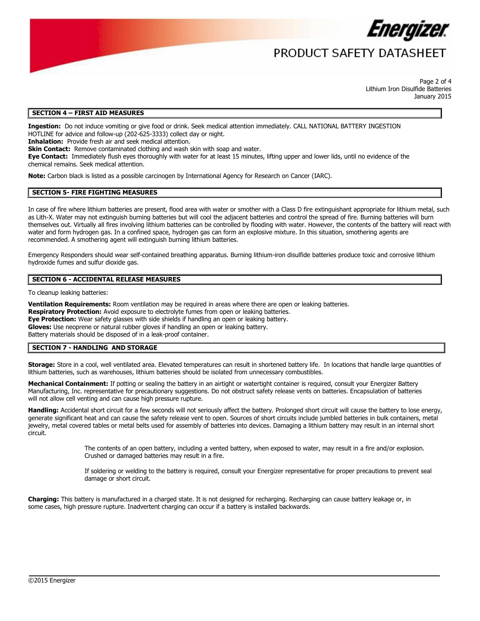

### PRODUCT SAFFTY DATASHFFT

Page 2 of 4 Lithium Iron Disulfide Batteries January 2015

#### **SECTION 4 – FIRST AID MEASURES**

**Ingestion:** Do not induce vomiting or give food or drink. Seek medical attention immediately. CALL NATIONAL BATTERY INGESTION HOTLINE for advice and follow-up (202-625-3333) collect day or night.

**Inhalation:** Provide fresh air and seek medical attention.

**Skin Contact:** Remove contaminated clothing and wash skin with soap and water.

**Eye Contact:** Immediately flush eyes thoroughly with water for at least 15 minutes, lifting upper and lower lids, until no evidence of the chemical remains. Seek medical attention.

**Note:** Carbon black is listed as a possible carcinogen by International Agency for Research on Cancer (IARC).

#### **SECTION 5- FIRE FIGHTING MEASURES**

In case of fire where lithium batteries are present, flood area with water or smother with a Class D fire extinguishant appropriate for lithium metal, such as Lith-X. Water may not extinguish burning batteries but will cool the adjacent batteries and control the spread of fire. Burning batteries will burn themselves out. Virtually all fires involving lithium batteries can be controlled by flooding with water. However, the contents of the battery will react with water and form hydrogen gas. In a confined space, hydrogen gas can form an explosive mixture. In this situation, smothering agents are recommended. A smothering agent will extinguish burning lithium batteries.

Emergency Responders should wear self-contained breathing apparatus. Burning lithium-iron disulfide batteries produce toxic and corrosive lithium hydroxide fumes and sulfur dioxide gas.

#### **SECTION 6 - ACCIDENTAL RELEASE MEASURES**

To cleanup leaking batteries:

**Ventilation Requirements:** Room ventilation may be required in areas where there are open or leaking batteries. **Respiratory Protection:** Avoid exposure to electrolyte fumes from open or leaking batteries. **Eye Protection:** Wear safety glasses with side shields if handling an open or leaking battery. **Gloves:** Use neoprene or natural rubber gloves if handling an open or leaking battery. Battery materials should be disposed of in a leak-proof container.

#### **SECTION 7 - HANDLING AND STORAGE**

**Storage:** Store in a cool, well ventilated area. Elevated temperatures can result in shortened battery life. In locations that handle large quantities of lithium batteries, such as warehouses, lithium batteries should be isolated from unnecessary combustibles.

Mechanical Containment: If potting or sealing the battery in an airtight or watertight container is required, consult your Energizer Battery Manufacturing, Inc. representative for precautionary suggestions. Do not obstruct safety release vents on batteries. Encapsulation of batteries will not allow cell venting and can cause high pressure rupture.

**Handling:** Accidental short circuit for a few seconds will not seriously affect the battery. Prolonged short circuit will cause the battery to lose energy, generate significant heat and can cause the safety release vent to open. Sources of short circuits include jumbled batteries in bulk containers, metal jewelry, metal covered tables or metal belts used for assembly of batteries into devices. Damaging a lithium battery may result in an internal short circuit.

> The contents of an open battery, including a vented battery, when exposed to water, may result in a fire and/or explosion. Crushed or damaged batteries may result in a fire.

If soldering or welding to the battery is required, consult your Energizer representative for proper precautions to prevent seal damage or short circuit.

**Charging:** This battery is manufactured in a charged state. It is not designed for recharging. Recharging can cause battery leakage or, in some cases, high pressure rupture. Inadvertent charging can occur if a battery is installed backwards.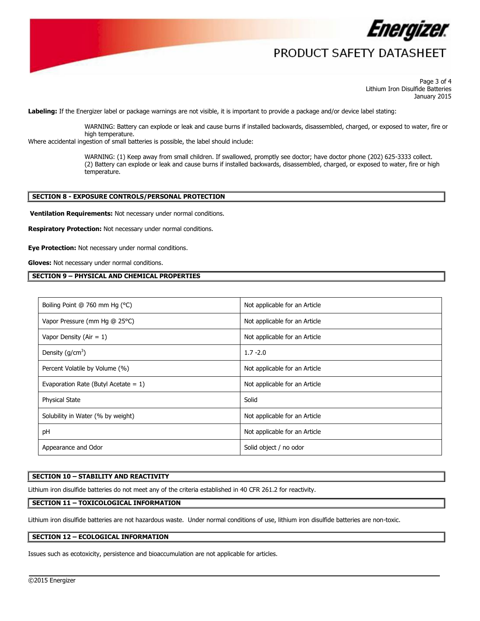

Page 3 of 4 Lithium Iron Disulfide Batteries January 2015

**Labeling:** If the Energizer label or package warnings are not visible, it is important to provide a package and/or device label stating:

WARNING: Battery can explode or leak and cause burns if installed backwards, disassembled, charged, or exposed to water, fire or high temperature.

Where accidental ingestion of small batteries is possible, the label should include:

WARNING: (1) Keep away from small children. If swallowed, promptly see doctor; have doctor phone (202) 625-3333 collect. (2) Battery can explode or leak and cause burns if installed backwards, disassembled, charged, or exposed to water, fire or high temperature.

#### **SECTION 8 - EXPOSURE CONTROLS/PERSONAL PROTECTION**

**Ventilation Requirements:** Not necessary under normal conditions.

**Respiratory Protection:** Not necessary under normal conditions.

**Eye Protection:** Not necessary under normal conditions.

**Gloves:** Not necessary under normal conditions.

#### **SECTION 9 – PHYSICAL AND CHEMICAL PROPERTIES**

| Boiling Point @ 760 mm Hg (°C)          | Not applicable for an Article |
|-----------------------------------------|-------------------------------|
| Vapor Pressure (mm Hg @ 25°C)           | Not applicable for an Article |
| Vapor Density ( $Air = 1$ )             | Not applicable for an Article |
| Density $(g/cm3)$                       | $1.7 - 2.0$                   |
| Percent Volatile by Volume (%)          | Not applicable for an Article |
| Evaporation Rate (Butyl Acetate = $1$ ) | Not applicable for an Article |
| <b>Physical State</b>                   | Solid                         |
| Solubility in Water (% by weight)       | Not applicable for an Article |
| pH                                      | Not applicable for an Article |
| Appearance and Odor                     | Solid object / no odor        |

#### **SECTION 10 – STABILITY AND REACTIVITY**

Lithium iron disulfide batteries do not meet any of the criteria established in 40 CFR 261.2 for reactivity.

#### **SECTION 11 – TOXICOLOGICAL INFORMATION**

Lithium iron disulfide batteries are not hazardous waste. Under normal conditions of use, lithium iron disulfide batteries are non-toxic.

 $\overline{a}$ 

#### **SECTION 12 – ECOLOGICAL INFORMATION**

Issues such as ecotoxicity, persistence and bioaccumulation are not applicable for articles.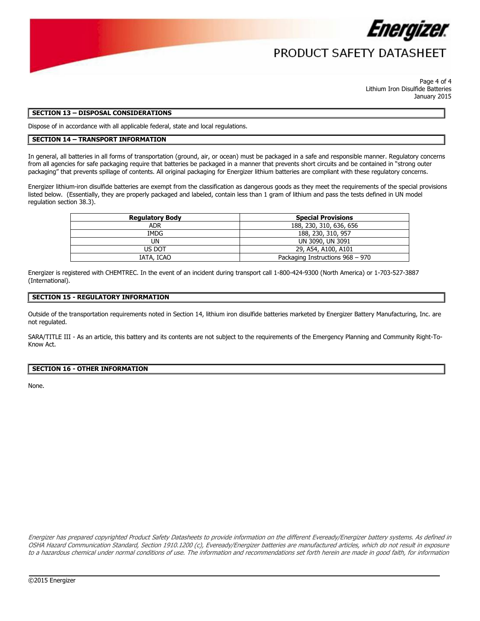

Page 4 of 4 Lithium Iron Disulfide Batteries January 2015

#### **SECTION 13 – DISPOSAL CONSIDERATIONS**

Dispose of in accordance with all applicable federal, state and local regulations.

#### **SECTION 14 – TRANSPORT INFORMATION**

In general, all batteries in all forms of transportation (ground, air, or ocean) must be packaged in a safe and responsible manner. Regulatory concerns from all agencies for safe packaging require that batteries be packaged in a manner that prevents short circuits and be contained in "strong outer packaging" that prevents spillage of contents. All original packaging for Energizer lithium batteries are compliant with these regulatory concerns.

Energizer lithium-iron disulfide batteries are exempt from the classification as dangerous goods as they meet the requirements of the special provisions listed below. (Essentially, they are properly packaged and labeled, contain less than 1 gram of lithium and pass the tests defined in UN model regulation section 38.3).

| <b>Regulatory Body</b> | <b>Special Provisions</b>        |  |
|------------------------|----------------------------------|--|
| <b>ADR</b>             | 188, 230, 310, 636, 656          |  |
| IMDG                   | 188, 230, 310, 957               |  |
| UN                     | UN 3090, UN 3091                 |  |
| US DOT                 | 29, A54, A100, A101              |  |
| IATA, ICAO             | Packaging Instructions 968 - 970 |  |
|                        |                                  |  |

Energizer is registered with CHEMTREC. In the event of an incident during transport call 1-800-424-9300 (North America) or 1-703-527-3887 (International).

#### **SECTION 15 - REGULATORY INFORMATION**

Outside of the transportation requirements noted in Section 14, lithium iron disulfide batteries marketed by Energizer Battery Manufacturing, Inc. are not regulated.

SARA/TITLE III - As an article, this battery and its contents are not subject to the requirements of the Emergency Planning and Community Right-To-Know Act.

#### **SECTION 16 - OTHER INFORMATION**

None.

Energizer has prepared copyrighted Product Safety Datasheets to provide information on the different Eveready/Energizer battery systems. As defined in OSHA Hazard Communication Standard, Section 1910.1200 (c), Eveready/Energizer batteries are manufactured articles, which do not result in exposure to a hazardous chemical under normal conditions of use. The information and recommendations set forth herein are made in good faith, for information